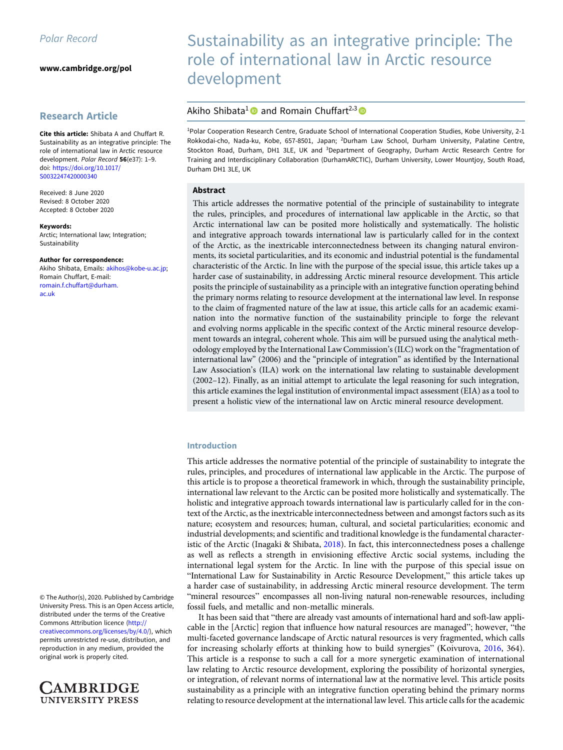[www.cambridge.org/pol](https://www.cambridge.org/pol)

# Research Article

Cite this article: Shibata A and Chuffart R. Sustainability as an integrative principle: The role of international law in Arctic resource development. Polar Record 56(e37): 1–9. doi: [https://doi.org/10.1017/](https://doi.org/10.1017/S0032247420000340) [S0032247420000340](https://doi.org/10.1017/S0032247420000340)

Received: 8 June 2020 Revised: 8 October 2020 Accepted: 8 October 2020

Keywords: Arctic; International law; Integration; Sustainability

#### Author for correspondence:

Akiho Shibata, Emails: [akihos@kobe-u.ac.jp;](mailto:akihos@kobe-u.ac.jp) Romain Chuffart, E-mail: [romain.f.chuffart@durham.](mailto:romain.f.chuffart@durham.ac.uk) [ac.uk](mailto:romain.f.chuffart@durham.ac.uk)

© The Author(s), 2020. Published by Cambridge University Press. This is an Open Access article, distributed under the terms of the Creative Commons Attribution licence ([http://](http://creativecommons.org/licenses/by/4.0/) [creativecommons.org/licenses/by/4.0/\)](http://creativecommons.org/licenses/by/4.0/), which permits unrestricted re-use, distribution, and reproduction in any medium, provided the original work is properly cited.



# Sustainability as an integrative principle: The role of international law in Arctic resource development

# Akiho Shibata<sup>1</sup> and Romain Chuffart<sup>2,3</sup>

<sup>1</sup>Polar Cooperation Research Centre, Graduate School of International Cooperation Studies, Kobe University, 2-1 Rokkodai-cho, Nada-ku, Kobe, 657-8501, Japan; <sup>2</sup>Durham Law School, Durham University, Palatine Centre, Stockton Road, Durham, DH1 3LE, UK and <sup>3</sup>Department of Geography, Durham Arctic Research Centre for Training and Interdisciplinary Collaboration (DurhamARCTIC), Durham University, Lower Mountjoy, South Road, Durham DH1 3LE, UK

# Abstract

This article addresses the normative potential of the principle of sustainability to integrate the rules, principles, and procedures of international law applicable in the Arctic, so that Arctic international law can be posited more holistically and systematically. The holistic and integrative approach towards international law is particularly called for in the context of the Arctic, as the inextricable interconnectedness between its changing natural environments, its societal particularities, and its economic and industrial potential is the fundamental characteristic of the Arctic. In line with the purpose of the special issue, this article takes up a harder case of sustainability, in addressing Arctic mineral resource development. This article posits the principle of sustainability as a principle with an integrative function operating behind the primary norms relating to resource development at the international law level. In response to the claim of fragmented nature of the law at issue, this article calls for an academic examination into the normative function of the sustainability principle to forge the relevant and evolving norms applicable in the specific context of the Arctic mineral resource development towards an integral, coherent whole. This aim will be pursued using the analytical methodology employed by the International Law Commission's (ILC) work on the "fragmentation of international law" (2006) and the "principle of integration" as identified by the International Law Association's (ILA) work on the international law relating to sustainable development (2002–12). Finally, as an initial attempt to articulate the legal reasoning for such integration, this article examines the legal institution of environmental impact assessment (EIA) as a tool to present a holistic view of the international law on Arctic mineral resource development.

## Introduction

This article addresses the normative potential of the principle of sustainability to integrate the rules, principles, and procedures of international law applicable in the Arctic. The purpose of this article is to propose a theoretical framework in which, through the sustainability principle, international law relevant to the Arctic can be posited more holistically and systematically. The holistic and integrative approach towards international law is particularly called for in the context of the Arctic, as the inextricable interconnectedness between and amongst factors such as its nature; ecosystem and resources; human, cultural, and societal particularities; economic and industrial developments; and scientific and traditional knowledge is the fundamental characteristic of the Arctic (Inagaki & Shibata, [2018\)](#page-7-0). In fact, this interconnectedness poses a challenge as well as reflects a strength in envisioning effective Arctic social systems, including the international legal system for the Arctic. In line with the purpose of this special issue on "International Law for Sustainability in Arctic Resource Development," this article takes up a harder case of sustainability, in addressing Arctic mineral resource development. The term "mineral resources" encompasses all non-living natural non-renewable resources, including fossil fuels, and metallic and non-metallic minerals.

It has been said that "there are already vast amounts of international hard and soft-law applicable in the [Arctic] region that influence how natural resources are managed"; however, "the multi-faceted governance landscape of Arctic natural resources is very fragmented, which calls for increasing scholarly efforts at thinking how to build synergies" (Koivurova, [2016](#page-7-0), 364). This article is a response to such a call for a more synergetic examination of international law relating to Arctic resource development, exploring the possibility of horizontal synergies, or integration, of relevant norms of international law at the normative level. This article posits sustainability as a principle with an integrative function operating behind the primary norms relating to resource development at the international law level. This article calls for the academic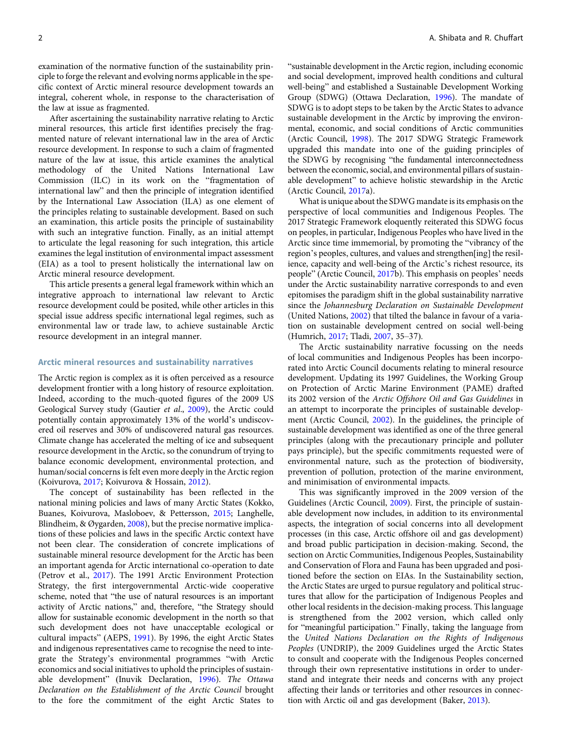examination of the normative function of the sustainability principle to forge the relevant and evolving norms applicable in the specific context of Arctic mineral resource development towards an integral, coherent whole, in response to the characterisation of the law at issue as fragmented.

After ascertaining the sustainability narrative relating to Arctic mineral resources, this article first identifies precisely the fragmented nature of relevant international law in the area of Arctic resource development. In response to such a claim of fragmented nature of the law at issue, this article examines the analytical methodology of the United Nations International Law Commission (ILC) in its work on the "fragmentation of international law" and then the principle of integration identified by the International Law Association (ILA) as one element of the principles relating to sustainable development. Based on such an examination, this article posits the principle of sustainability with such an integrative function. Finally, as an initial attempt to articulate the legal reasoning for such integration, this article examines the legal institution of environmental impact assessment (EIA) as a tool to present holistically the international law on Arctic mineral resource development.

This article presents a general legal framework within which an integrative approach to international law relevant to Arctic resource development could be posited, while other articles in this special issue address specific international legal regimes, such as environmental law or trade law, to achieve sustainable Arctic resource development in an integral manner.

#### Arctic mineral resources and sustainability narratives

The Arctic region is complex as it is often perceived as a resource development frontier with a long history of resource exploitation. Indeed, according to the much-quoted figures of the 2009 US Geological Survey study (Gautier et al., [2009\)](#page-7-0), the Arctic could potentially contain approximately 13% of the world's undiscovered oil reserves and 30% of undiscovered natural gas resources. Climate change has accelerated the melting of ice and subsequent resource development in the Arctic, so the conundrum of trying to balance economic development, environmental protection, and human/social concerns is felt even more deeply in the Arctic region (Koivurova, [2017;](#page-7-0) Koivurova & Hossain, [2012](#page-7-0)).

The concept of sustainability has been reflected in the national mining policies and laws of many Arctic States (Kokko, Buanes, Koivurova, Masloboev, & Pettersson, [2015](#page-7-0); Langhelle, Blindheim, & Øygarden, [2008\)](#page-7-0), but the precise normative implications of these policies and laws in the specific Arctic context have not been clear. The consideration of concrete implications of sustainable mineral resource development for the Arctic has been an important agenda for Arctic international co-operation to date (Petrov et al., [2017\)](#page-8-0). The 1991 Arctic Environment Protection Strategy, the first intergovernmental Arctic-wide cooperative scheme, noted that "the use of natural resources is an important activity of Arctic nations," and, therefore, "the Strategy should allow for sustainable economic development in the north so that such development does not have unacceptable ecological or cultural impacts" (AEPS, [1991\)](#page-6-0). By 1996, the eight Arctic States and indigenous representatives came to recognise the need to integrate the Strategy's environmental programmes "with Arctic economics and social initiatives to uphold the principles of sustainable development" (Inuvik Declaration, [1996](#page-7-0)). The Ottawa Declaration on the Establishment of the Arctic Council brought to the fore the commitment of the eight Arctic States to

"sustainable development in the Arctic region, including economic and social development, improved health conditions and cultural well-being" and established a Sustainable Development Working Group (SDWG) (Ottawa Declaration, [1996](#page-8-0)). The mandate of SDWG is to adopt steps to be taken by the Arctic States to advance sustainable development in the Arctic by improving the environmental, economic, and social conditions of Arctic communities (Arctic Council, [1998\)](#page-6-0). The 2017 SDWG Strategic Framework upgraded this mandate into one of the guiding principles of the SDWG by recognising "the fundamental interconnectedness between the economic, social, and environmental pillars of sustainable development" to achieve holistic stewardship in the Arctic (Arctic Council, [2017a](#page-6-0)).

What is unique about the SDWG mandate is its emphasis on the perspective of local communities and Indigenous Peoples. The 2017 Strategic Framework eloquently reiterated this SDWG focus on peoples, in particular, Indigenous Peoples who have lived in the Arctic since time immemorial, by promoting the "vibrancy of the region's peoples, cultures, and values and strengthen[ing] the resilience, capacity and well-being of the Arctic's richest resource, its people" (Arctic Council, [2017](#page-6-0)b). This emphasis on peoples' needs under the Arctic sustainability narrative corresponds to and even epitomises the paradigm shift in the global sustainability narrative since the Johannesburg Declaration on Sustainable Development (United Nations, [2002\)](#page-8-0) that tilted the balance in favour of a variation on sustainable development centred on social well-being (Humrich, [2017;](#page-7-0) Tladi, [2007,](#page-8-0) 35–37).

The Arctic sustainability narrative focussing on the needs of local communities and Indigenous Peoples has been incorporated into Arctic Council documents relating to mineral resource development. Updating its 1997 Guidelines, the Working Group on Protection of Arctic Marine Environment (PAME) drafted its 2002 version of the Arctic Offshore Oil and Gas Guidelines in an attempt to incorporate the principles of sustainable development (Arctic Council, [2002](#page-6-0)). In the guidelines, the principle of sustainable development was identified as one of the three general principles (along with the precautionary principle and polluter pays principle), but the specific commitments requested were of environmental nature, such as the protection of biodiversity, prevention of pollution, protection of the marine environment, and minimisation of environmental impacts.

This was significantly improved in the 2009 version of the Guidelines (Arctic Council, [2009\)](#page-6-0). First, the principle of sustainable development now includes, in addition to its environmental aspects, the integration of social concerns into all development processes (in this case, Arctic offshore oil and gas development) and broad public participation in decision-making. Second, the section on Arctic Communities, Indigenous Peoples, Sustainability and Conservation of Flora and Fauna has been upgraded and positioned before the section on EIAs. In the Sustainability section, the Arctic States are urged to pursue regulatory and political structures that allow for the participation of Indigenous Peoples and other local residents in the decision-making process. This language is strengthened from the 2002 version, which called only for "meaningful participation." Finally, taking the language from the United Nations Declaration on the Rights of Indigenous Peoples (UNDRIP), the 2009 Guidelines urged the Arctic States to consult and cooperate with the Indigenous Peoples concerned through their own representative institutions in order to understand and integrate their needs and concerns with any project affecting their lands or territories and other resources in connection with Arctic oil and gas development (Baker, [2013](#page-6-0)).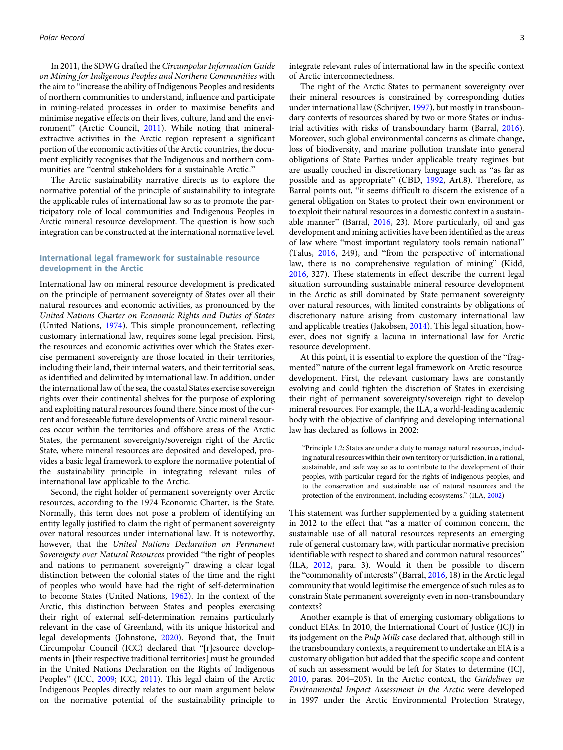In 2011, the SDWG drafted the Circumpolar Information Guide on Mining for Indigenous Peoples and Northern Communities with the aim to "increase the ability of Indigenous Peoples and residents of northern communities to understand, influence and participate in mining-related processes in order to maximise benefits and minimise negative effects on their lives, culture, land and the environment" (Arctic Council, [2011\)](#page-6-0). While noting that mineralextractive activities in the Arctic region represent a significant portion of the economic activities of the Arctic countries, the document explicitly recognises that the Indigenous and northern communities are "central stakeholders for a sustainable Arctic."

The Arctic sustainability narrative directs us to explore the normative potential of the principle of sustainability to integrate the applicable rules of international law so as to promote the participatory role of local communities and Indigenous Peoples in Arctic mineral resource development. The question is how such integration can be constructed at the international normative level.

## International legal framework for sustainable resource development in the Arctic

International law on mineral resource development is predicated on the principle of permanent sovereignty of States over all their natural resources and economic activities, as pronounced by the United Nations Charter on Economic Rights and Duties of States (United Nations, [1974\)](#page-8-0). This simple pronouncement, reflecting customary international law, requires some legal precision. First, the resources and economic activities over which the States exercise permanent sovereignty are those located in their territories, including their land, their internal waters, and their territorial seas, as identified and delimited by international law. In addition, under the international law of the sea, the coastal States exercise sovereign rights over their continental shelves for the purpose of exploring and exploiting natural resources found there. Since most of the current and foreseeable future developments of Arctic mineral resources occur within the territories and offshore areas of the Arctic States, the permanent sovereignty/sovereign right of the Arctic State, where mineral resources are deposited and developed, provides a basic legal framework to explore the normative potential of the sustainability principle in integrating relevant rules of international law applicable to the Arctic.

Second, the right holder of permanent sovereignty over Arctic resources, according to the 1974 Economic Charter, is the State. Normally, this term does not pose a problem of identifying an entity legally justified to claim the right of permanent sovereignty over natural resources under international law. It is noteworthy, however, that the United Nations Declaration on Permanent Sovereignty over Natural Resources provided "the right of peoples and nations to permanent sovereignty" drawing a clear legal distinction between the colonial states of the time and the right of peoples who would have had the right of self-determination to become States (United Nations, [1962](#page-8-0)). In the context of the Arctic, this distinction between States and peoples exercising their right of external self-determination remains particularly relevant in the case of Greenland, with its unique historical and legal developments (Johnstone, [2020\)](#page-7-0). Beyond that, the Inuit Circumpolar Council (ICC) declared that "[r]esource developments in [their respective traditional territories] must be grounded in the United Nations Declaration on the Rights of Indigenous Peoples" (ICC, [2009;](#page-7-0) ICC, [2011\)](#page-7-0). This legal claim of the Arctic Indigenous Peoples directly relates to our main argument below on the normative potential of the sustainability principle to

integrate relevant rules of international law in the specific context of Arctic interconnectedness.

The right of the Arctic States to permanent sovereignty over their mineral resources is constrained by corresponding duties under international law (Schrijver, [1997\)](#page-8-0), but mostly in transboundary contexts of resources shared by two or more States or industrial activities with risks of transboundary harm (Barral, [2016\)](#page-6-0). Moreover, such global environmental concerns as climate change, loss of biodiversity, and marine pollution translate into general obligations of State Parties under applicable treaty regimes but are usually couched in discretionary language such as "as far as possible and as appropriate" (CBD, [1992](#page-7-0), Art.8). Therefore, as Barral points out, "it seems difficult to discern the existence of a general obligation on States to protect their own environment or to exploit their natural resources in a domestic context in a sustainable manner" (Barral, [2016,](#page-6-0) 23). More particularly, oil and gas development and mining activities have been identified as the areas of law where "most important regulatory tools remain national" (Talus, [2016](#page-8-0), 249), and "from the perspective of international law, there is no comprehensive regulation of mining" (Kidd, [2016](#page-7-0), 327). These statements in effect describe the current legal situation surrounding sustainable mineral resource development in the Arctic as still dominated by State permanent sovereignty over natural resources, with limited constraints by obligations of discretionary nature arising from customary international law and applicable treaties (Jakobsen, [2014\)](#page-7-0). This legal situation, however, does not signify a lacuna in international law for Arctic resource development.

At this point, it is essential to explore the question of the "fragmented" nature of the current legal framework on Arctic resource development. First, the relevant customary laws are constantly evolving and could tighten the discretion of States in exercising their right of permanent sovereignty/sovereign right to develop mineral resources. For example, the ILA, a world-leading academic body with the objective of clarifying and developing international law has declared as follows in 2002:

"Principle 1.2: States are under a duty to manage natural resources, including natural resources within their own territory or jurisdiction, in a rational, sustainable, and safe way so as to contribute to the development of their peoples, with particular regard for the rights of indigenous peoples, and to the conservation and sustainable use of natural resources and the protection of the environment, including ecosystems." (ILA, [2002](#page-7-0))

This statement was further supplemented by a guiding statement in 2012 to the effect that "as a matter of common concern, the sustainable use of all natural resources represents an emerging rule of general customary law, with particular normative precision identifiable with respect to shared and common natural resources" (ILA, [2012](#page-7-0), para. 3). Would it then be possible to discern the "commonality of interests" (Barral, [2016](#page-6-0), 18) in the Arctic legal community that would legitimise the emergence of such rules as to constrain State permanent sovereignty even in non-transboundary contexts?

Another example is that of emerging customary obligations to conduct EIAs. In 2010, the International Court of Justice (ICJ) in its judgement on the Pulp Mills case declared that, although still in the transboundary contexts, a requirement to undertake an EIA is a customary obligation but added that the specific scope and content of such an assessment would be left for States to determine (ICJ, [2010](#page-7-0), paras. 204–205). In the Arctic context, the Guidelines on Environmental Impact Assessment in the Arctic were developed in 1997 under the Arctic Environmental Protection Strategy,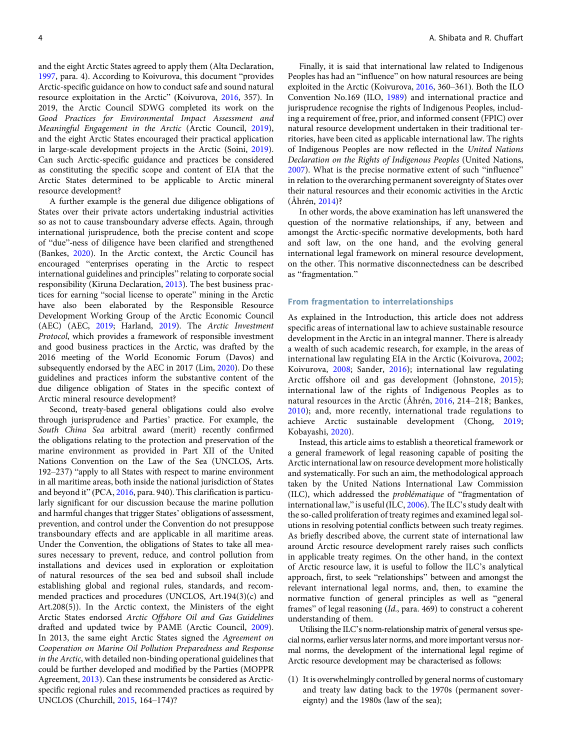and the eight Arctic States agreed to apply them (Alta Declaration, [1997,](#page-6-0) para. 4). According to Koivurova, this document "provides Arctic-specific guidance on how to conduct safe and sound natural resource exploitation in the Arctic" (Koivurova, [2016](#page-7-0), 357). In 2019, the Arctic Council SDWG completed its work on the Good Practices for Environmental Impact Assessment and Meaningful Engagement in the Arctic (Arctic Council, [2019](#page-6-0)), and the eight Arctic States encouraged their practical application in large-scale development projects in the Arctic (Soini, [2019](#page-8-0)). Can such Arctic-specific guidance and practices be considered as constituting the specific scope and content of EIA that the Arctic States determined to be applicable to Arctic mineral resource development?

A further example is the general due diligence obligations of States over their private actors undertaking industrial activities so as not to cause transboundary adverse effects. Again, through international jurisprudence, both the precise content and scope of "due"-ness of diligence have been clarified and strengthened (Bankes, [2020\)](#page-6-0). In the Arctic context, the Arctic Council has encouraged "enterprises operating in the Arctic to respect international guidelines and principles" relating to corporate social responsibility (Kiruna Declaration, [2013](#page-7-0)). The best business practices for earning "social license to operate" mining in the Arctic have also been elaborated by the Responsible Resource Development Working Group of the Arctic Economic Council (AEC) (AEC, [2019;](#page-6-0) Harland, [2019](#page-7-0)). The Arctic Investment Protocol, which provides a framework of responsible investment and good business practices in the Arctic, was drafted by the 2016 meeting of the World Economic Forum (Davos) and subsequently endorsed by the AEC in 2017 (Lim, [2020](#page-7-0)). Do these guidelines and practices inform the substantive content of the due diligence obligation of States in the specific context of Arctic mineral resource development?

Second, treaty-based general obligations could also evolve through jurisprudence and Parties' practice. For example, the South China Sea arbitral award (merit) recently confirmed the obligations relating to the protection and preservation of the marine environment as provided in Part XII of the United Nations Convention on the Law of the Sea (UNCLOS, Arts. 192–237) "apply to all States with respect to marine environment in all maritime areas, both inside the national jurisdiction of States and beyond it" (PCA, [2016](#page-8-0), para. 940). This clarification is particularly significant for our discussion because the marine pollution and harmful changes that trigger States' obligations of assessment, prevention, and control under the Convention do not presuppose transboundary effects and are applicable in all maritime areas. Under the Convention, the obligations of States to take all measures necessary to prevent, reduce, and control pollution from installations and devices used in exploration or exploitation of natural resources of the sea bed and subsoil shall include establishing global and regional rules, standards, and recommended practices and procedures (UNCLOS, Art.194(3)(c) and Art.208(5)). In the Arctic context, the Ministers of the eight Arctic States endorsed Arctic Offshore Oil and Gas Guidelines drafted and updated twice by PAME (Arctic Council, [2009](#page-6-0)). In 2013, the same eight Arctic States signed the Agreement on Cooperation on Marine Oil Pollution Preparedness and Response in the Arctic, with detailed non-binding operational guidelines that could be further developed and modified by the Parties (MOPPR Agreement, [2013\)](#page-7-0). Can these instruments be considered as Arcticspecific regional rules and recommended practices as required by UNCLOS (Churchill, [2015,](#page-7-0) 164–174)?

Finally, it is said that international law related to Indigenous Peoples has had an "influence" on how natural resources are being exploited in the Arctic (Koivurova, [2016](#page-7-0), 360–361). Both the ILO Convention No.169 (ILO, [1989](#page-7-0)) and international practice and jurisprudence recognise the rights of Indigenous Peoples, including a requirement of free, prior, and informed consent (FPIC) over natural resource development undertaken in their traditional territories, have been cited as applicable international law. The rights of Indigenous Peoples are now reflected in the United Nations Declaration on the Rights of Indigenous Peoples (United Nations, [2007\)](#page-8-0). What is the precise normative extent of such "influence" in relation to the overarching permanent sovereignty of States over their natural resources and their economic activities in the Arctic (Åhrén, [2014](#page-6-0))?

In other words, the above examination has left unanswered the question of the normative relationships, if any, between and amongst the Arctic-specific normative developments, both hard and soft law, on the one hand, and the evolving general international legal framework on mineral resource development, on the other. This normative disconnectedness can be described as "fragmentation."

#### From fragmentation to interrelationships

As explained in the Introduction, this article does not address specific areas of international law to achieve sustainable resource development in the Arctic in an integral manner. There is already a wealth of such academic research, for example, in the areas of international law regulating EIA in the Arctic (Koivurova, [2002](#page-7-0); Koivurova, [2008;](#page-7-0) Sander, [2016](#page-8-0)); international law regulating Arctic offshore oil and gas development (Johnstone, [2015](#page-7-0)); international law of the rights of Indigenous Peoples as to natural resources in the Arctic (Åhrén, [2016,](#page-6-0) 214–218; Bankes, [2010](#page-6-0)); and, more recently, international trade regulations to achieve Arctic sustainable development (Chong, [2019](#page-7-0); Kobayashi, [2020\)](#page-7-0).

Instead, this article aims to establish a theoretical framework or a general framework of legal reasoning capable of positing the Arctic international law on resource development more holistically and systematically. For such an aim, the methodological approach taken by the United Nations International Law Commission (ILC), which addressed the problématique of "fragmentation of international law," is useful (ILC, [2006\)](#page-7-0). The ILC's study dealt with the so-called proliferation of treaty regimes and examined legal solutions in resolving potential conflicts between such treaty regimes. As briefly described above, the current state of international law around Arctic resource development rarely raises such conflicts in applicable treaty regimes. On the other hand, in the context of Arctic resource law, it is useful to follow the ILC's analytical approach, first, to seek "relationships" between and amongst the relevant international legal norms, and, then, to examine the normative function of general principles as well as "general frames" of legal reasoning (Id., para. 469) to construct a coherent understanding of them.

Utilising the ILC's norm-relationship matrix of general versus special norms, earlier versus later norms, and more important versus normal norms, the development of the international legal regime of Arctic resource development may be characterised as follows:

(1) It is overwhelmingly controlled by general norms of customary and treaty law dating back to the 1970s (permanent sovereignty) and the 1980s (law of the sea);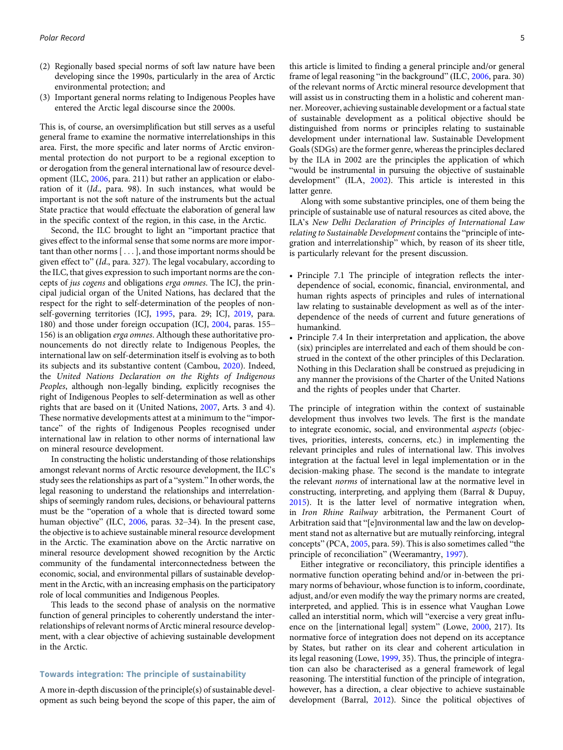- (2) Regionally based special norms of soft law nature have been developing since the 1990s, particularly in the area of Arctic environmental protection; and
- (3) Important general norms relating to Indigenous Peoples have entered the Arctic legal discourse since the 2000s.

This is, of course, an oversimplification but still serves as a useful general frame to examine the normative interrelationships in this area. First, the more specific and later norms of Arctic environmental protection do not purport to be a regional exception to or derogation from the general international law of resource development (ILC, [2006](#page-7-0), para. 211) but rather an application or elaboration of it (Id., para. 98). In such instances, what would be important is not the soft nature of the instruments but the actual State practice that would effectuate the elaboration of general law in the specific context of the region, in this case, in the Arctic.

Second, the ILC brought to light an "important practice that gives effect to the informal sense that some norms are more important than other norms [...], and those important norms should be given effect to" (Id., para. 327). The legal vocabulary, according to the ILC, that gives expression to such important norms are the concepts of jus cogens and obligations erga omnes. The ICJ, the principal judicial organ of the United Nations, has declared that the respect for the right to self-determination of the peoples of nonself-governing territories (ICJ, [1995,](#page-7-0) para. 29; ICJ, [2019,](#page-7-0) para. 180) and those under foreign occupation (ICJ, [2004](#page-7-0), paras. 155– 156) is an obligation erga omnes. Although these authoritative pronouncements do not directly relate to Indigenous Peoples, the international law on self-determination itself is evolving as to both its subjects and its substantive content (Cambou, [2020](#page-7-0)). Indeed, the United Nations Declaration on the Rights of Indigenous Peoples, although non-legally binding, explicitly recognises the right of Indigenous Peoples to self-determination as well as other rights that are based on it (United Nations, [2007](#page-8-0), Arts. 3 and 4). These normative developments attest at a minimum to the "importance" of the rights of Indigenous Peoples recognised under international law in relation to other norms of international law on mineral resource development.

In constructing the holistic understanding of those relationships amongst relevant norms of Arctic resource development, the ILC's study sees the relationships as part of a "system." In other words, the legal reasoning to understand the relationships and interrelationships of seemingly random rules, decisions, or behavioural patterns must be the "operation of a whole that is directed toward some human objective" (ILC, [2006](#page-7-0), paras. 32–34). In the present case, the objective is to achieve sustainable mineral resource development in the Arctic. The examination above on the Arctic narrative on mineral resource development showed recognition by the Arctic community of the fundamental interconnectedness between the economic, social, and environmental pillars of sustainable development in the Arctic, with an increasing emphasis on the participatory role of local communities and Indigenous Peoples.

This leads to the second phase of analysis on the normative function of general principles to coherently understand the interrelationships of relevant norms of Arctic mineral resource development, with a clear objective of achieving sustainable development in the Arctic.

## Towards integration: The principle of sustainability

A more in-depth discussion of the principle(s) of sustainable development as such being beyond the scope of this paper, the aim of this article is limited to finding a general principle and/or general frame of legal reasoning "in the background" (ILC, [2006](#page-7-0), para. 30) of the relevant norms of Arctic mineral resource development that will assist us in constructing them in a holistic and coherent manner. Moreover, achieving sustainable development or a factual state of sustainable development as a political objective should be distinguished from norms or principles relating to sustainable development under international law. Sustainable Development Goals (SDGs) are the former genre, whereas the principles declared by the ILA in 2002 are the principles the application of which "would be instrumental in pursuing the objective of sustainable development" (ILA, [2002](#page-7-0)). This article is interested in this latter genre.

Along with some substantive principles, one of them being the principle of sustainable use of natural resources as cited above, the ILA's New Delhi Declaration of Principles of International Law relating to Sustainable Development contains the "principle of integration and interrelationship" which, by reason of its sheer title, is particularly relevant for the present discussion.

- Principle 7.1 The principle of integration reflects the interdependence of social, economic, financial, environmental, and human rights aspects of principles and rules of international law relating to sustainable development as well as of the interdependence of the needs of current and future generations of humankind.
- Principle 7.4 In their interpretation and application, the above (six) principles are interrelated and each of them should be construed in the context of the other principles of this Declaration. Nothing in this Declaration shall be construed as prejudicing in any manner the provisions of the Charter of the United Nations and the rights of peoples under that Charter.

The principle of integration within the context of sustainable development thus involves two levels. The first is the mandate to integrate economic, social, and environmental aspects (objectives, priorities, interests, concerns, etc.) in implementing the relevant principles and rules of international law. This involves integration at the factual level in legal implementation or in the decision-making phase. The second is the mandate to integrate the relevant norms of international law at the normative level in constructing, interpreting, and applying them (Barral & Dupuy, [2015](#page-6-0)). It is the latter level of normative integration when, in Iron Rhine Railway arbitration, the Permanent Court of Arbitration said that "[e]nvironmental law and the law on development stand not as alternative but are mutually reinforcing, integral concepts" (PCA, [2005](#page-8-0), para. 59). This is also sometimes called "the principle of reconciliation" (Weeramantry, [1997\)](#page-8-0).

Either integrative or reconciliatory, this principle identifies a normative function operating behind and/or in-between the primary norms of behaviour, whose function is to inform, coordinate, adjust, and/or even modify the way the primary norms are created, interpreted, and applied. This is in essence what Vaughan Lowe called an interstitial norm, which will "exercise a very great influence on the [international legal] system" (Lowe, [2000](#page-7-0), 217). Its normative force of integration does not depend on its acceptance by States, but rather on its clear and coherent articulation in its legal reasoning (Lowe, [1999](#page-7-0), 35). Thus, the principle of integration can also be characterised as a general framework of legal reasoning. The interstitial function of the principle of integration, however, has a direction, a clear objective to achieve sustainable development (Barral, [2012\)](#page-6-0). Since the political objectives of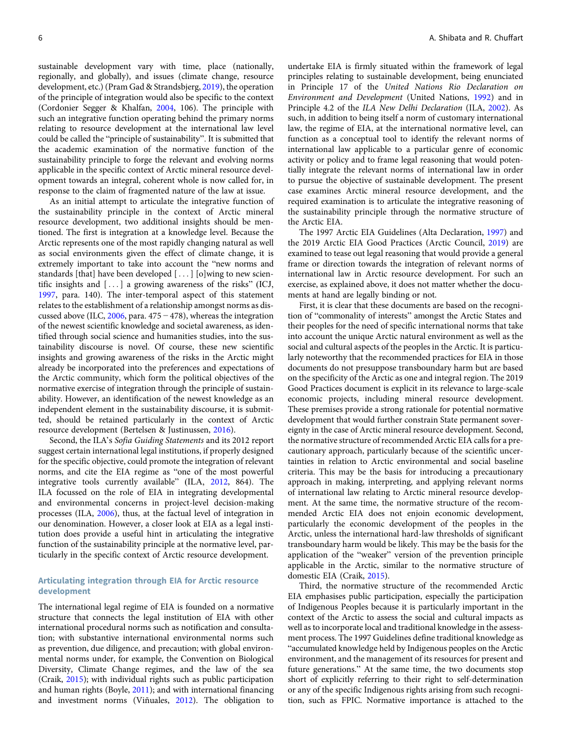sustainable development vary with time, place (nationally, regionally, and globally), and issues (climate change, resource development, etc.) (Pram Gad & Strandsbjerg, [2019](#page-8-0)), the operation of the principle of integration would also be specific to the context (Cordonier Segger & Khalfan, [2004,](#page-7-0) 106). The principle with such an integrative function operating behind the primary norms relating to resource development at the international law level could be called the "principle of sustainability". It is submitted that the academic examination of the normative function of the sustainability principle to forge the relevant and evolving norms applicable in the specific context of Arctic mineral resource development towards an integral, coherent whole is now called for, in response to the claim of fragmented nature of the law at issue.

As an initial attempt to articulate the integrative function of the sustainability principle in the context of Arctic mineral resource development, two additional insights should be mentioned. The first is integration at a knowledge level. Because the Arctic represents one of the most rapidly changing natural as well as social environments given the effect of climate change, it is extremely important to take into account the "new norms and standards [that] have been developed  $[...]$  [o]wing to new scientific insights and  $[...]$  a growing awareness of the risks" (ICJ, [1997,](#page-7-0) para. 140). The inter-temporal aspect of this statement relates to the establishment of a relationship amongst norms as discussed above (ILC, [2006,](#page-7-0) para. 475 − 478), whereas the integration of the newest scientific knowledge and societal awareness, as identified through social science and humanities studies, into the sustainability discourse is novel. Of course, these new scientific insights and growing awareness of the risks in the Arctic might already be incorporated into the preferences and expectations of the Arctic community, which form the political objectives of the normative exercise of integration through the principle of sustainability. However, an identification of the newest knowledge as an independent element in the sustainability discourse, it is submitted, should be retained particularly in the context of Arctic resource development (Bertelsen & Justinussen, [2016\)](#page-7-0).

Second, the ILA's Sofia Guiding Statements and its 2012 report suggest certain international legal institutions, if properly designed for the specific objective, could promote the integration of relevant norms, and cite the EIA regime as "one of the most powerful integrative tools currently available" (ILA, [2012](#page-7-0), 864). The ILA focussed on the role of EIA in integrating developmental and environmental concerns in project-level decision-making processes (ILA, [2006\)](#page-7-0), thus, at the factual level of integration in our denomination. However, a closer look at EIA as a legal institution does provide a useful hint in articulating the integrative function of the sustainability principle at the normative level, particularly in the specific context of Arctic resource development.

# Articulating integration through EIA for Arctic resource development

The international legal regime of EIA is founded on a normative structure that connects the legal institution of EIA with other international procedural norms such as notification and consultation; with substantive international environmental norms such as prevention, due diligence, and precaution; with global environmental norms under, for example, the Convention on Biological Diversity, Climate Change regimes, and the law of the sea (Craik, [2015](#page-7-0)); with individual rights such as public participation and human rights (Boyle, [2011](#page-7-0)); and with international financing and investment norms (Viñuales, [2012](#page-8-0)). The obligation to

undertake EIA is firmly situated within the framework of legal principles relating to sustainable development, being enunciated in Principle 17 of the United Nations Rio Declaration on Environment and Development (United Nations, [1992](#page-8-0)) and in Principle 4.2 of the ILA New Delhi Declaration (ILA, [2002\)](#page-7-0). As such, in addition to being itself a norm of customary international law, the regime of EIA, at the international normative level, can function as a conceptual tool to identify the relevant norms of international law applicable to a particular genre of economic activity or policy and to frame legal reasoning that would potentially integrate the relevant norms of international law in order to pursue the objective of sustainable development. The present case examines Arctic mineral resource development, and the required examination is to articulate the integrative reasoning of the sustainability principle through the normative structure of the Arctic EIA.

The 1997 Arctic EIA Guidelines (Alta Declaration, [1997\)](#page-6-0) and the 2019 Arctic EIA Good Practices (Arctic Council, [2019\)](#page-6-0) are examined to tease out legal reasoning that would provide a general frame or direction towards the integration of relevant norms of international law in Arctic resource development. For such an exercise, as explained above, it does not matter whether the documents at hand are legally binding or not.

First, it is clear that these documents are based on the recognition of "commonality of interests" amongst the Arctic States and their peoples for the need of specific international norms that take into account the unique Arctic natural environment as well as the social and cultural aspects of the peoples in the Arctic. It is particularly noteworthy that the recommended practices for EIA in those documents do not presuppose transboundary harm but are based on the specificity of the Arctic as one and integral region. The 2019 Good Practices document is explicit in its relevance to large-scale economic projects, including mineral resource development. These premises provide a strong rationale for potential normative development that would further constrain State permanent sovereignty in the case of Arctic mineral resource development. Second, the normative structure of recommended Arctic EIA calls for a precautionary approach, particularly because of the scientific uncertainties in relation to Arctic environmental and social baseline criteria. This may be the basis for introducing a precautionary approach in making, interpreting, and applying relevant norms of international law relating to Arctic mineral resource development. At the same time, the normative structure of the recommended Arctic EIA does not enjoin economic development, particularly the economic development of the peoples in the Arctic, unless the international hard-law thresholds of significant transboundary harm would be likely. This may be the basis for the application of the "weaker" version of the prevention principle applicable in the Arctic, similar to the normative structure of domestic EIA (Craik, [2015\)](#page-7-0).

Third, the normative structure of the recommended Arctic EIA emphasises public participation, especially the participation of Indigenous Peoples because it is particularly important in the context of the Arctic to assess the social and cultural impacts as well as to incorporate local and traditional knowledge in the assessment process. The 1997 Guidelines define traditional knowledge as "accumulated knowledge held by Indigenous peoples on the Arctic environment, and the management of its resources for present and future generations." At the same time, the two documents stop short of explicitly referring to their right to self-determination or any of the specific Indigenous rights arising from such recognition, such as FPIC. Normative importance is attached to the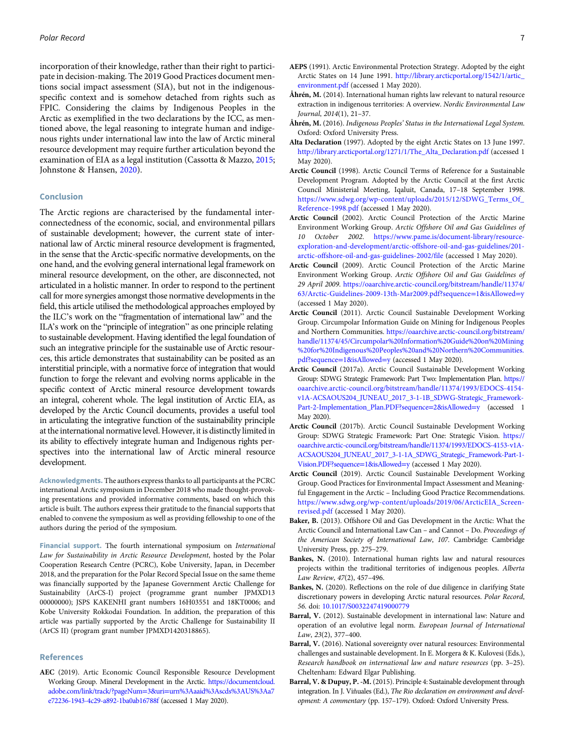<span id="page-6-0"></span>incorporation of their knowledge, rather than their right to participate in decision-making. The 2019 Good Practices document mentions social impact assessment (SIA), but not in the indigenousspecific context and is somehow detached from rights such as FPIC. Considering the claims by Indigenous Peoples in the Arctic as exemplified in the two declarations by the ICC, as mentioned above, the legal reasoning to integrate human and indigenous rights under international law into the law of Arctic mineral resource development may require further articulation beyond the examination of EIA as a legal institution (Cassotta & Mazzo, [2015;](#page-7-0) Johnstone & Hansen, [2020](#page-7-0)).

### Conclusion

The Arctic regions are characterised by the fundamental interconnectedness of the economic, social, and environmental pillars of sustainable development; however, the current state of international law of Arctic mineral resource development is fragmented, in the sense that the Arctic-specific normative developments, on the one hand, and the evolving general international legal framework on mineral resource development, on the other, are disconnected, not articulated in a holistic manner. In order to respond to the pertinent call for more synergies amongst those normative developments in the field, this article utilised the methodological approaches employed by the ILC's work on the "fragmentation of international law" and the ILA's work on the "principle of integration" as one principle relating to sustainable development. Having identified the legal foundation of such an integrative principle for the sustainable use of Arctic resources, this article demonstrates that sustainability can be posited as an interstitial principle, with a normative force of integration that would function to forge the relevant and evolving norms applicable in the specific context of Arctic mineral resource development towards an integral, coherent whole. The legal institution of Arctic EIA, as developed by the Arctic Council documents, provides a useful tool in articulating the integrative function of the sustainability principle at the international normative level. However, it is distinctly limited in its ability to effectively integrate human and Indigenous rights perspectives into the international law of Arctic mineral resource development.

Acknowledgments. The authors express thanks to all participants at the PCRC international Arctic symposium in December 2018 who made thought-provoking presentations and provided informative comments, based on which this article is built. The authors express their gratitude to the financial supports that enabled to convene the symposium as well as providing fellowship to one of the authors during the period of the symposium.

Financial support. The fourth international symposium on International Law for Sustainability in Arctic Resource Development, hosted by the Polar Cooperation Research Centre (PCRC), Kobe University, Japan, in December 2018, and the preparation for the Polar Record Special Issue on the same theme was financially supported by the Japanese Government Arctic Challenge for Sustainability (ArCS-I) project (programme grant number JPMXD13 00000000); JSPS KAKENHI grant numbers 16H03551 and 18KT0006; and Kobe University Rokkodai Foundation. In addition, the preparation of this article was partially supported by the Arctic Challenge for Sustainability II (ArCS II) (program grant number JPMXD1420318865).

### References

AEC (2019). Artic Economic Council Responsible Resource Development Working Group. Mineral Development in the Arctic. [https://documentcloud.](https://documentcloud.adobe.com/link/track/?pageNum%3d3&uri%3durn%3Aaaid%3Ascds%3AUS%3Aa7e72236-1943-4c29-a892-1ba0ab16788f) [adobe.com/link/track/?pageNum](https://documentcloud.adobe.com/link/track/?pageNum%3d3&uri%3durn%3Aaaid%3Ascds%3AUS%3Aa7e72236-1943-4c29-a892-1ba0ab16788f)=[3&uri](https://documentcloud.adobe.com/link/track/?pageNum%3d3&uri%3durn%3Aaaid%3Ascds%3AUS%3Aa7e72236-1943-4c29-a892-1ba0ab16788f)=[urn%3Aaaid%3Ascds%3AUS%3Aa7](https://documentcloud.adobe.com/link/track/?pageNum%3d3&uri%3durn%3Aaaid%3Ascds%3AUS%3Aa7e72236-1943-4c29-a892-1ba0ab16788f) [e72236-1943-4c29-a892-1ba0ab16788f](https://documentcloud.adobe.com/link/track/?pageNum%3d3&uri%3durn%3Aaaid%3Ascds%3AUS%3Aa7e72236-1943-4c29-a892-1ba0ab16788f) (accessed 1 May 2020).

- AEPS (1991). Arctic Environmental Protection Strategy. Adopted by the eight Arctic States on 14 June 1991. [http://library.arcticportal.org/1542/1/artic\\_](http://library.arcticportal.org/1542/1/artic_environment.pdf) [environment.pdf](http://library.arcticportal.org/1542/1/artic_environment.pdf) (accessed 1 May 2020).
- Åhrén, M. (2014). International human rights law relevant to natural resource extraction in indigenous territories: A overview. Nordic Environmental Law Journal, 2014(1), 21–37.
- Åhrén, M. (2016). Indigenous Peoples' Status in the International Legal System. Oxford: Oxford University Press.
- Alta Declaration (1997). Adopted by the eight Arctic States on 13 June 1997. [http://library.arcticportal.org/1271/1/The\\_Alta\\_Declaration.pdf](http://library.arcticportal.org/1271/1/The_Alta_Declaration.pdf) (accessed 1 May 2020).
- Arctic Council (1998). Arctic Council Terms of Reference for a Sustainable Development Program. Adopted by the Arctic Council at the first Arctic Council Ministerial Meeting, Iqaluit, Canada, 17–18 September 1998. [https://www.sdwg.org/wp-content/uploads/2015/12/SDWG\\_Terms\\_Of\\_](https://www.sdwg.org/wp-content/uploads/2015/12/SDWG_Terms_Of_Reference-1998.pdf) [Reference-1998.pdf](https://www.sdwg.org/wp-content/uploads/2015/12/SDWG_Terms_Of_Reference-1998.pdf) (accessed 1 May 2020).
- Arctic Council (2002). Arctic Council Protection of the Arctic Marine Environment Working Group. Arctic Offshore Oil and Gas Guidelines of 10 October 2002. [https://www.pame.is/document-library/resource](https://www.pame.is/document-library/resource-exploration-and-development/arctic-offshore-oil-and-gas-guidelines/201-arctic-offshore-oil-and-gas-guidelines-2002/file)[exploration-and-development/arctic-offshore-oil-and-gas-guidelines/201](https://www.pame.is/document-library/resource-exploration-and-development/arctic-offshore-oil-and-gas-guidelines/201-arctic-offshore-oil-and-gas-guidelines-2002/file) [arctic-offshore-oil-and-gas-guidelines-2002/file](https://www.pame.is/document-library/resource-exploration-and-development/arctic-offshore-oil-and-gas-guidelines/201-arctic-offshore-oil-and-gas-guidelines-2002/file) (accessed 1 May 2020).
- Arctic Council (2009). Arctic Council Protection of the Arctic Marine Environment Working Group. Arctic Offshore Oil and Gas Guidelines of 29 April 2009. [https://oaarchive.arctic-council.org/bitstream/handle/11374/](https://oaarchive.arctic-council.org/bitstream/handle/11374/63/Arctic-Guidelines-2009-13th-Mar2009.pdf?sequence%3d1&isAllowed%3dy) [63/Arctic-Guidelines-2009-13th-Mar2009.pdf?sequence](https://oaarchive.arctic-council.org/bitstream/handle/11374/63/Arctic-Guidelines-2009-13th-Mar2009.pdf?sequence%3d1&isAllowed%3dy)=[1&isAllowed](https://oaarchive.arctic-council.org/bitstream/handle/11374/63/Arctic-Guidelines-2009-13th-Mar2009.pdf?sequence%3d1&isAllowed%3dy)=[y](https://oaarchive.arctic-council.org/bitstream/handle/11374/63/Arctic-Guidelines-2009-13th-Mar2009.pdf?sequence%3d1&isAllowed%3dy) (accessed 1 May 2020).
- Arctic Council (2011). Arctic Council Sustainable Development Working Group. Circumpolar Information Guide on Mining for Indigenous Peoples and Northern Communities. [https://oaarchive.arctic-council.org/bitstream/](https://oaarchive.arctic-council.org/bitstream/handle/11374/45/Circumpolar%20Information%20Guide%20on%20Mining%20for%20Indigenous%20Peoples%20and%20Northern%20Communities.pdf?sequence%3d1&isAllowed%3dy) [handle/11374/45/Circumpolar%20Information%20Guide%20on%20Mining](https://oaarchive.arctic-council.org/bitstream/handle/11374/45/Circumpolar%20Information%20Guide%20on%20Mining%20for%20Indigenous%20Peoples%20and%20Northern%20Communities.pdf?sequence%3d1&isAllowed%3dy) [%20for%20Indigenous%20Peoples%20and%20Northern%20Communities.](https://oaarchive.arctic-council.org/bitstream/handle/11374/45/Circumpolar%20Information%20Guide%20on%20Mining%20for%20Indigenous%20Peoples%20and%20Northern%20Communities.pdf?sequence%3d1&isAllowed%3dy) [pdf?sequence](https://oaarchive.arctic-council.org/bitstream/handle/11374/45/Circumpolar%20Information%20Guide%20on%20Mining%20for%20Indigenous%20Peoples%20and%20Northern%20Communities.pdf?sequence%3d1&isAllowed%3dy)=[1&isAllowed](https://oaarchive.arctic-council.org/bitstream/handle/11374/45/Circumpolar%20Information%20Guide%20on%20Mining%20for%20Indigenous%20Peoples%20and%20Northern%20Communities.pdf?sequence%3d1&isAllowed%3dy)=[y](https://oaarchive.arctic-council.org/bitstream/handle/11374/45/Circumpolar%20Information%20Guide%20on%20Mining%20for%20Indigenous%20Peoples%20and%20Northern%20Communities.pdf?sequence%3d1&isAllowed%3dy) (accessed 1 May 2020).
- Arctic Council (2017a). Arctic Council Sustainable Development Working Group: SDWG Strategic Framework: Part Two: Implementation Plan. [https://](https://oaarchive.arctic-council.org/bitstream/handle/11374/1993/EDOCS-4154-v1A-ACSAOUS204_JUNEAU_2017_3-1-1B_SDWG-Strategic_Framework-Part-2-Implementation_Plan.PDF?sequence%3d2&isAllowed%3dy) [oaarchive.arctic-council.org/bitstream/handle/11374/1993/EDOCS-4154](https://oaarchive.arctic-council.org/bitstream/handle/11374/1993/EDOCS-4154-v1A-ACSAOUS204_JUNEAU_2017_3-1-1B_SDWG-Strategic_Framework-Part-2-Implementation_Plan.PDF?sequence%3d2&isAllowed%3dy) [v1A-ACSAOUS204\\_JUNEAU\\_2017\\_3-1-1B\\_SDWG-Strategic\\_Framework-](https://oaarchive.arctic-council.org/bitstream/handle/11374/1993/EDOCS-4154-v1A-ACSAOUS204_JUNEAU_2017_3-1-1B_SDWG-Strategic_Framework-Part-2-Implementation_Plan.PDF?sequence%3d2&isAllowed%3dy)[Part-2-Implementation\\_Plan.PDF?sequence](https://oaarchive.arctic-council.org/bitstream/handle/11374/1993/EDOCS-4154-v1A-ACSAOUS204_JUNEAU_2017_3-1-1B_SDWG-Strategic_Framework-Part-2-Implementation_Plan.PDF?sequence%3d2&isAllowed%3dy)=[2&isAllowed](https://oaarchive.arctic-council.org/bitstream/handle/11374/1993/EDOCS-4154-v1A-ACSAOUS204_JUNEAU_2017_3-1-1B_SDWG-Strategic_Framework-Part-2-Implementation_Plan.PDF?sequence%3d2&isAllowed%3dy)=[y](https://oaarchive.arctic-council.org/bitstream/handle/11374/1993/EDOCS-4154-v1A-ACSAOUS204_JUNEAU_2017_3-1-1B_SDWG-Strategic_Framework-Part-2-Implementation_Plan.PDF?sequence%3d2&isAllowed%3dy) (accessed 1 May 2020).
- Arctic Council (2017b). Arctic Council Sustainable Development Working Group: SDWG Strategic Framework: Part One: Strategic Vision. [https://](https://oaarchive.arctic-council.org/bitstream/handle/11374/1993/EDOCS-4153-v1A-ACSAOUS204_JUNEAU_2017_3-1-1A_SDWG_Strategic_Framework-Part-1-Vision.PDF?sequence%3d1&isAllowed%3dy) [oaarchive.arctic-council.org/bitstream/handle/11374/1993/EDOCS-4153-v1A-](https://oaarchive.arctic-council.org/bitstream/handle/11374/1993/EDOCS-4153-v1A-ACSAOUS204_JUNEAU_2017_3-1-1A_SDWG_Strategic_Framework-Part-1-Vision.PDF?sequence%3d1&isAllowed%3dy)[ACSAOUS204\\_JUNEAU\\_2017\\_3-1-1A\\_SDWG\\_Strategic\\_Framework-Part-1-](https://oaarchive.arctic-council.org/bitstream/handle/11374/1993/EDOCS-4153-v1A-ACSAOUS204_JUNEAU_2017_3-1-1A_SDWG_Strategic_Framework-Part-1-Vision.PDF?sequence%3d1&isAllowed%3dy) [Vision.PDF?sequence](https://oaarchive.arctic-council.org/bitstream/handle/11374/1993/EDOCS-4153-v1A-ACSAOUS204_JUNEAU_2017_3-1-1A_SDWG_Strategic_Framework-Part-1-Vision.PDF?sequence%3d1&isAllowed%3dy)=[1&isAllowed](https://oaarchive.arctic-council.org/bitstream/handle/11374/1993/EDOCS-4153-v1A-ACSAOUS204_JUNEAU_2017_3-1-1A_SDWG_Strategic_Framework-Part-1-Vision.PDF?sequence%3d1&isAllowed%3dy)=[y](https://oaarchive.arctic-council.org/bitstream/handle/11374/1993/EDOCS-4153-v1A-ACSAOUS204_JUNEAU_2017_3-1-1A_SDWG_Strategic_Framework-Part-1-Vision.PDF?sequence%3d1&isAllowed%3dy) (accessed 1 May 2020).
- Arctic Council (2019). Arctic Council Sustainable Development Working Group. Good Practices for Environmental Impact Assessment and Meaningful Engagement in the Arctic – Including Good Practice Recommendations. [https://www.sdwg.org/wp-content/uploads/2019/06/ArcticEIA\\_Screen](https://www.sdwg.org/wp-content/uploads/2019/06/ArcticEIA_Screen-revised.pdf)[revised.pdf](https://www.sdwg.org/wp-content/uploads/2019/06/ArcticEIA_Screen-revised.pdf) (accessed 1 May 2020).
- Baker, B. (2013). Offshore Oil and Gas Development in the Arctic: What the Arctic Council and International Law Can – and Cannot – Do. Proceedings of the American Society of International Law, 107. Cambridge: Cambridge University Press, pp. 275–279.
- Bankes, N. (2010). International human rights law and natural resources projects within the traditional territories of indigenous peoples. Alberta Law Review, 47(2), 457–496.
- Bankes, N. (2020). Reflections on the role of due diligence in clarifying State discretionary powers in developing Arctic natural resources. Polar Record, 56. doi: [10.1017/S0032247419000779](https://doi.org/10.1017/S0032247419000779)
- Barral, V. (2012). Sustainable development in international law: Nature and operation of an evolutive legal norm. European Journal of International Law, 23(2), 377–400.
- Barral, V. (2016). National sovereignty over natural resources: Environmental challenges and sustainable development. In E. Morgera & K. Kulovesi (Eds.), Research handbook on international law and nature resources (pp. 3–25). Cheltenham: Edward Elgar Publishing.
- Barral, V. & Dupuy, P. -M. (2015). Principle 4: Sustainable development through integration. In J. Viñuales (Ed.), The Rio declaration on environment and development: A commentary (pp. 157–179). Oxford: Oxford University Press.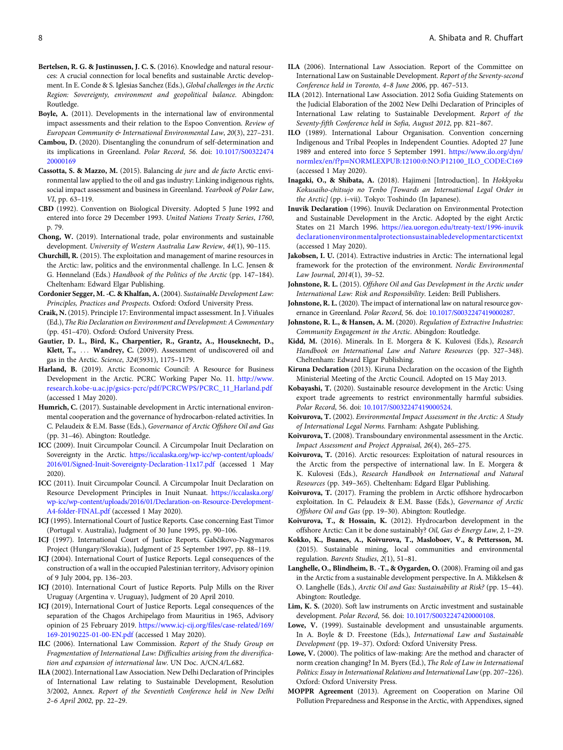- <span id="page-7-0"></span>Bertelsen, R. G. & Justinussen, J. C. S. (2016). Knowledge and natural resources: A crucial connection for local benefits and sustainable Arctic development. In E. Conde & S. Iglesias Sanchez (Eds.), Global challenges in the Arctic Region: Sovereignty, environment and geopolitical balance. Abingdon: Routledge.
- Boyle, A. (2011). Developments in the international law of environmental impact assessments and their relation to the Espoo Convention. Review of European Community & International Environmental Law, 20(3), 227–231.
- Cambou, D. (2020). Disentangling the conundrum of self-determination and its implications in Greenland. Polar Record, 56. doi: [10.1017/S00322474](https://doi.org/10.1017/S0032247420000169) [20000169](https://doi.org/10.1017/S0032247420000169)
- Cassotta, S. & Mazzo, M. (2015). Balancing de jure and de facto Arctic environmental law applied to the oil and gas industry: Linking indigenous rights, social impact assessment and business in Greenland. Yearbook of Polar Law, VI, pp. 63–119.
- CBD (1992). Convention on Biological Diversity. Adopted 5 June 1992 and entered into force 29 December 1993. United Nations Treaty Series, 1760, p. 79.
- Chong, W. (2019). International trade, polar environments and sustainable development. University of Western Australia Law Review, 44(1), 90–115.
- Churchill, R. (2015). The exploitation and management of marine resources in the Arctic: law, politics and the environmental challenge. In L.C. Jensen & G. Hønneland (Eds.) Handbook of the Politics of the Arctic (pp. 147–184). Cheltenham: Edward Elgar Publishing.
- Cordonier Segger, M. -C. & Khalfan, A. (2004). Sustainable Development Law: Principles, Practices and Prospects. Oxford: Oxford University Press.
- Craik, N. (2015). Principle 17: Environmental impact assessment. In J. Viñuales (Ed.), The Rio Declaration on Environment and Development: A Commentary (pp. 451–470). Oxford: Oxford University Press.
- Gautier, D. L., Bird, K., Charpentier, R., Grantz, A., Houseknecht, D., Klett, T., ... Wandrey, C. (2009). Assessment of undiscovered oil and gas in the Arctic. Science, 324(5931), 1175–1179.
- Harland, B. (2019). Arctic Economic Council: A Resource for Business Development in the Arctic. PCRC Working Paper No. 11. [http://www.](http://www.research.kobe-u.ac.jp/gsics-pcrc/pdf/PCRCWPS/PCRC_11_Harland.pdf) [research.kobe-u.ac.jp/gsics-pcrc/pdf/PCRCWPS/PCRC\\_11\\_Harland.pdf](http://www.research.kobe-u.ac.jp/gsics-pcrc/pdf/PCRCWPS/PCRC_11_Harland.pdf) (accessed 1 May 2020).
- Humrich, C. (2017). Sustainable development in Arctic international environmental cooperation and the governance of hydrocarbon-related activities. In C. Pelaudeix & E.M. Basse (Eds.), Governance of Arctic Offshore Oil and Gas (pp. 31–46). Abington: Routledge.
- ICC (2009). Inuit Circumpolar Council. A Circumpolar Inuit Declaration on Sovereignty in the Arctic. [https://iccalaska.org/wp-icc/wp-content/uploads/](https://iccalaska.org/wp-icc/wp-content/uploads/2016/01/Signed-Inuit-Sovereignty-Declaration-11x17.pdf) [2016/01/Signed-Inuit-Sovereignty-Declaration-11x17.pdf](https://iccalaska.org/wp-icc/wp-content/uploads/2016/01/Signed-Inuit-Sovereignty-Declaration-11x17.pdf) (accessed 1 May 2020).
- ICC (2011). Inuit Circumpolar Council. A Circumpolar Inuit Declaration on Resource Development Principles in Inuit Nunaat. [https://iccalaska.org/](https://iccalaska.org/wp-icc/wp-content/uploads/2016/01/Declaration-on-Resource-Development-A4-folder-FINAL.pdf) [wp-icc/wp-content/uploads/2016/01/Declaration-on-Resource-Development-](https://iccalaska.org/wp-icc/wp-content/uploads/2016/01/Declaration-on-Resource-Development-A4-folder-FINAL.pdf)[A4-folder-FINAL.pdf](https://iccalaska.org/wp-icc/wp-content/uploads/2016/01/Declaration-on-Resource-Development-A4-folder-FINAL.pdf) (accessed 1 May 2020).
- ICJ (1995). International Court of Justice Reports. Case concerning East Timor (Portugal v. Australia), Judgment of 30 June 1995, pp. 90–106.
- ICJ (1997). International Court of Justice Reports. Gabčíkovo-Nagymaros Project (Hungary/Slovakia), Judgment of 25 September 1997, pp. 88–119.
- ICJ (2004). International Court of Justice Reports. Legal consequences of the construction of a wall in the occupied Palestinian territory, Advisory opinion of 9 July 2004, pp. 136–203.
- ICJ (2010). International Court of Justice Reports. Pulp Mills on the River Uruguay (Argentina v. Uruguay), Judgment of 20 April 2010.
- ICJ (2019), International Court of Justice Reports. Legal consequences of the separation of the Chagos Archipelago from Mauritius in 1965, Advisory opinion of 25 February 2019. [https://www.icj-cij.org/files/case-related/169/](https://www.icj-cij.org/files/case-related/169/169-20190225-01-00-EN.pdf) [169-20190225-01-00-EN.pdf](https://www.icj-cij.org/files/case-related/169/169-20190225-01-00-EN.pdf) (accessed 1 May 2020).
- ILC (2006). International Law Commission. Report of the Study Group on Fragmentation of International Law: Difficulties arising from the diversification and expansion of international law. UN Doc. A/CN.4/L.682.
- ILA (2002). International Law Association. New Delhi Declaration of Principles of International Law relating to Sustainable Development, Resolution 3/2002, Annex. Report of the Seventieth Conference held in New Delhi 2–6 April 2002, pp. 22–29.
- ILA (2006). International Law Association. Report of the Committee on International Law on Sustainable Development. Report of the Seventy-second Conference held in Toronto, 4–8 June 2006, pp. 467–513.
- ILA (2012). International Law Association. 2012 Sofia Guiding Statements on the Judicial Elaboration of the 2002 New Delhi Declaration of Principles of International Law relating to Sustainable Development. Report of the Seventy-fifth Conference held in Sofia, August 2012, pp. 821–867.
- ILO (1989). International Labour Organisation. Convention concerning Indigenous and Tribal Peoples in Independent Counties. Adopted 27 June 1989 and entered into force 5 September 1991. [https://www.ilo.org/dyn/](https://www.ilo.org/dyn/normlex/en/f?p%3dNORMLEXPUB:12100:0:NO:P12100_ILO_CODE:C169) [normlex/en/f?p](https://www.ilo.org/dyn/normlex/en/f?p%3dNORMLEXPUB:12100:0:NO:P12100_ILO_CODE:C169)=[NORMLEXPUB:12100:0:NO:P12100\\_ILO\\_CODE:C169](https://www.ilo.org/dyn/normlex/en/f?p%3dNORMLEXPUB:12100:0:NO:P12100_ILO_CODE:C169) (accessed 1 May 2020).
- Inagaki, O., & Shibata, A. (2018). Hajimeni [Introduction]. In Hokkyoku Kokusaiho-chitsujo no Tenbo [Towards an International Legal Order in the Arctic] (pp. i–vii). Tokyo: Toshindo (In Japanese).
- Inuvik Declaration (1996). Inuvik Declaration on Environmental Protection and Sustainable Development in the Arctic. Adopted by the eight Arctic States on 21 March 1996. [https://iea.uoregon.edu/treaty-text/1996-inuvik](https://iea.uoregon.edu/treaty-text/1996-inuvikdeclarationenvironmentalprotectionsustainabledevelopmentarcticentxt) [declarationenvironmentalprotectionsustainabledevelopmentarcticentxt](https://iea.uoregon.edu/treaty-text/1996-inuvikdeclarationenvironmentalprotectionsustainabledevelopmentarcticentxt) (accessed 1 May 2020).
- Jakobsen, I. U. (2014). Extractive industries in Arctic: The international legal framework for the protection of the environment. Nordic Environmental Law Journal, 2014(1), 39–52.
- Johnstone, R. L. (2015). Offshore Oil and Gas Development in the Arctic under International Law: Risk and Responsibility. Leiden: Brill Publishers.
- Johnstone, R. L. (2020). The impact of international law on natural resource governance in Greenland. Polar Record, 56. doi: [10.1017/S0032247419000287.](https://doi.org/10.1017/S0032247419000287)
- Johnstone, R. L., & Hansen, A. M. (2020). Regulation of Extractive Industries: Community Engagement in the Arctic. Abingdon: Routledge.
- Kidd, M. (2016). Minerals. In E. Morgera & K. Kulovesi (Eds.), Research Handbook on International Law and Nature Resources (pp. 327–348). Cheltenham: Edward Elgar Publishing.
- Kiruna Declaration (2013). Kiruna Declaration on the occasion of the Eighth Ministerial Meeting of the Arctic Council. Adopted on 15 May 2013.
- Kobayashi, T. (2020). Sustainable resource development in the Arctic: Using export trade agreements to restrict environmentally harmful subsidies. Polar Record, 56. doi: [10.1017/S0032247419000524.](https://doi.org/10.1017/S0032247419000524)
- Koivurova, T. (2002). Environmental Impact Assessment in the Arctic: A Study of International Legal Norms. Farnham: Ashgate Publishing.
- Koivurova, T. (2008). Transboundary environmental assessment in the Arctic. Impact Assessment and Project Appraisal, 26(4), 265–275.
- Koivurova, T. (2016). Arctic resources: Exploitation of natural resources in the Arctic from the perspective of international law. In E. Morgera & K. Kulovesi (Eds.), Research Handbook on International and Natural Resources (pp. 349–365). Cheltenham: Edgard Elgar Publishing.
- Koivurova, T. (2017). Framing the problem in Arctic offshore hydrocarbon exploitation. In C. Pelaudeix & E.M. Basse (Eds.), Governance of Arctic Offshore Oil and Gas (pp. 19–30). Abington: Routledge.
- Koivurova, T., & Hossain, K. (2012). Hydrocarbon development in the offshore Arctic: Can it be done sustainably? Oil, Gas & Energy Law, 2, 1–29.
- Kokko, K., Buanes, A., Koivurova, T., Masloboev, V., & Pettersson, M. (2015). Sustainable mining, local communities and environmental regulation. Barents Studies, 2(1), 51–81.
- Langhelle, O., Blindheim, B. -T., & Øygarden, O. (2008). Framing oil and gas in the Arctic from a sustainable development perspective. In A. Mikkelsen & O. Langhelle (Eds.), Arctic Oil and Gas: Sustainability at Risk? (pp. 15–44). Abington: Routledge.
- Lim, K. S. (2020). Soft law instruments on Arctic investment and sustainable development. Polar Record, 56. doi: [10.1017/S0032247420000108.](https://doi.org/10.1017/S0032247420000108)
- Lowe, V. (1999). Sustainable development and unsustainable arguments. In A. Boyle & D. Freestone (Eds.), International Law and Sustainable Development (pp. 19–37). Oxford: Oxford University Press.
- Lowe, V. (2000). The politics of law-making: Are the method and character of norm creation changing? In M. Byers (Ed.), The Role of Law in International Politics: Essay in International Relations and International Law (pp. 207–226). Oxford: Oxford University Press.
- MOPPR Agreement (2013). Agreement on Cooperation on Marine Oil Pollution Preparedness and Response in the Arctic, with Appendixes, signed